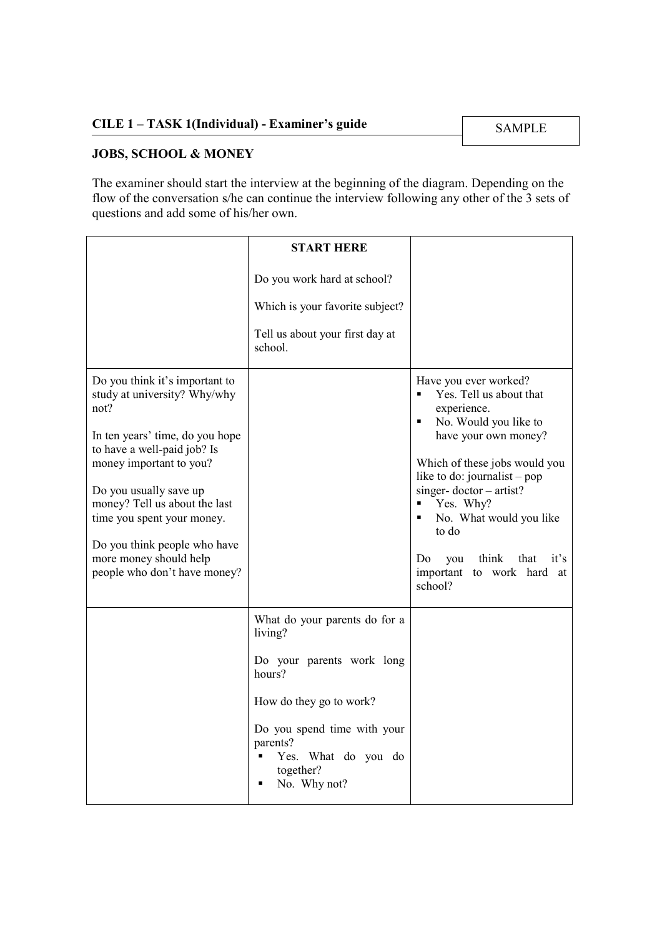## JOBS, SCHOOL & MONEY

The examiner should start the interview at the beginning of the diagram. Depending on the flow of the conversation s/he can continue the interview following any other of the 3 sets of questions and add some of his/her own.

|                                                                                                                                                                                                                                                                                                                                                        | <b>START HERE</b>                                                                                                                                                                                              |                                                                                                                                                                                                                                                                                                                                                       |
|--------------------------------------------------------------------------------------------------------------------------------------------------------------------------------------------------------------------------------------------------------------------------------------------------------------------------------------------------------|----------------------------------------------------------------------------------------------------------------------------------------------------------------------------------------------------------------|-------------------------------------------------------------------------------------------------------------------------------------------------------------------------------------------------------------------------------------------------------------------------------------------------------------------------------------------------------|
|                                                                                                                                                                                                                                                                                                                                                        | Do you work hard at school?<br>Which is your favorite subject?<br>Tell us about your first day at<br>school.                                                                                                   |                                                                                                                                                                                                                                                                                                                                                       |
| Do you think it's important to<br>study at university? Why/why<br>not?<br>In ten years' time, do you hope<br>to have a well-paid job? Is<br>money important to you?<br>Do you usually save up<br>money? Tell us about the last<br>time you spent your money.<br>Do you think people who have<br>more money should help<br>people who don't have money? |                                                                                                                                                                                                                | Have you ever worked?<br>Yes. Tell us about that<br>experience.<br>No. Would you like to<br>٠<br>have your own money?<br>Which of these jobs would you<br>like to do: journalist – pop<br>singer-doctor $-$ artist?<br>Yes. Why?<br>No. What would you like<br>to do<br>think<br>that<br>it's<br>Do<br>you<br>important to work hard<br>at<br>school? |
|                                                                                                                                                                                                                                                                                                                                                        | What do your parents do for a<br>living?<br>Do your parents work long<br>hours?<br>How do they go to work?<br>Do you spend time with your<br>parents?<br>Yes. What do you do<br>٠<br>together?<br>No. Why not? |                                                                                                                                                                                                                                                                                                                                                       |